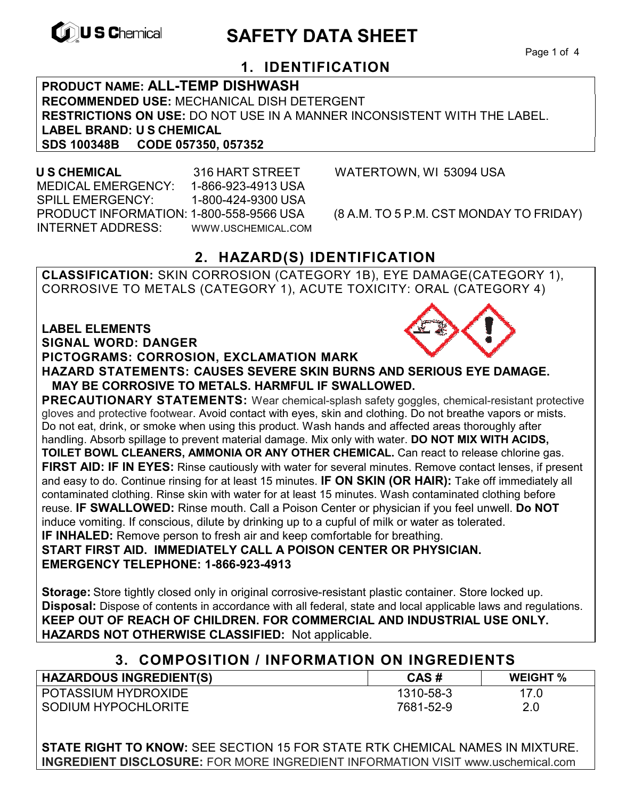

# **EXAMPLE THE SAFETY DATA SHEET**

Page 1 of 4

## **1. IDENTIFICATION**

**PRODUCT NAME: ALL-TEMP DISHWASH RECOMMENDED USE:** MECHANICAL DISH DETERGENT **RESTRICTIONS ON USE:** DO NOT USE IN A MANNER INCONSISTENT WITH THE LABEL. **LABEL BRAND: U S CHEMICAL SDS 100348B CODE 057350, 057352** 

 MEDICAL EMERGENCY: 1-866-923-4913 USA SPILL EMERGENCY: 1-800-424-9300 USA PRODUCT INFORMATION: 1-800-558-9566 USA (8 A.M. TO 5 P.M. CST MONDAY TO FRIDAY) INTERNET ADDRESS: WWW.USCHEMICAL.COM

**U S CHEMICAL** 316 HART STREET WATERTOWN, WI 53094 USA

## **2. HAZARD(S) IDENTIFICATION**

**CLASSIFICATION:** SKIN CORROSION (CATEGORY 1B), EYE DAMAGE(CATEGORY 1), CORROSIVE TO METALS (CATEGORY 1), ACUTE TOXICITY: ORAL (CATEGORY 4)

### **LABEL ELEMENTS SIGNAL WORD: DANGER**

### **PICTOGRAMS: CORROSION, EXCLAMATION MARK**

**HAZARD STATEMENTS: CAUSES SEVERE SKIN BURNS AND SERIOUS EYE DAMAGE. MAY BE CORROSIVE TO METALS. HARMFUL IF SWALLOWED.** 

**PRECAUTIONARY STATEMENTS:** Wear chemical-splash safety goggles, chemical-resistant protective gloves and protective footwear. Avoid contact with eyes, skin and clothing. Do not breathe vapors or mists. Do not eat, drink, or smoke when using this product. Wash hands and affected areas thoroughly after handling. Absorb spillage to prevent material damage. Mix only with water. **DO NOT MIX WITH ACIDS, TOILET BOWL CLEANERS, AMMONIA OR ANY OTHER CHEMICAL.** Can react to release chlorine gas. **FIRST AID: IF IN EYES:** Rinse cautiously with water for several minutes. Remove contact lenses, if present and easy to do. Continue rinsing for at least 15 minutes. **IF ON SKIN (OR HAIR):** Take off immediately all contaminated clothing. Rinse skin with water for at least 15 minutes. Wash contaminated clothing before reuse. **IF SWALLOWED:** Rinse mouth. Call a Poison Center or physician if you feel unwell. **Do NOT**  induce vomiting. If conscious, dilute by drinking up to a cupful of milk or water as tolerated. **IF INHALED:** Remove person to fresh air and keep comfortable for breathing. **START FIRST AID. IMMEDIATELY CALL A POISON CENTER OR PHYSICIAN.** 

**EMERGENCY TELEPHONE: 1-866-923-4913**

**Storage:** Store tightly closed only in original corrosive-resistant plastic container. Store locked up. **Disposal:** Dispose of contents in accordance with all federal, state and local applicable laws and regulations. **KEEP OUT OF REACH OF CHILDREN. FOR COMMERCIAL AND INDUSTRIAL USE ONLY. HAZARDS NOT OTHERWISE CLASSIFIED:** Not applicable.

## **3. COMPOSITION / INFORMATION ON INGREDIENTS**

| <b>HAZARDOUS INGREDIENT(S)</b> | CAS#      | <b>WEIGHT %</b> |
|--------------------------------|-----------|-----------------|
| <b>POTASSIUM HYDROXIDE</b>     | 1310-58-3 |                 |
| SODIUM HYPOCHLORITE            | 7681-52-9 | 2.0             |

**STATE RIGHT TO KNOW:** SEE SECTION 15 FOR STATE RTK CHEMICAL NAMES IN MIXTURE. **INGREDIENT DISCLOSURE:** FOR MORE INGREDIENT INFORMATION VISIT www.uschemical.com

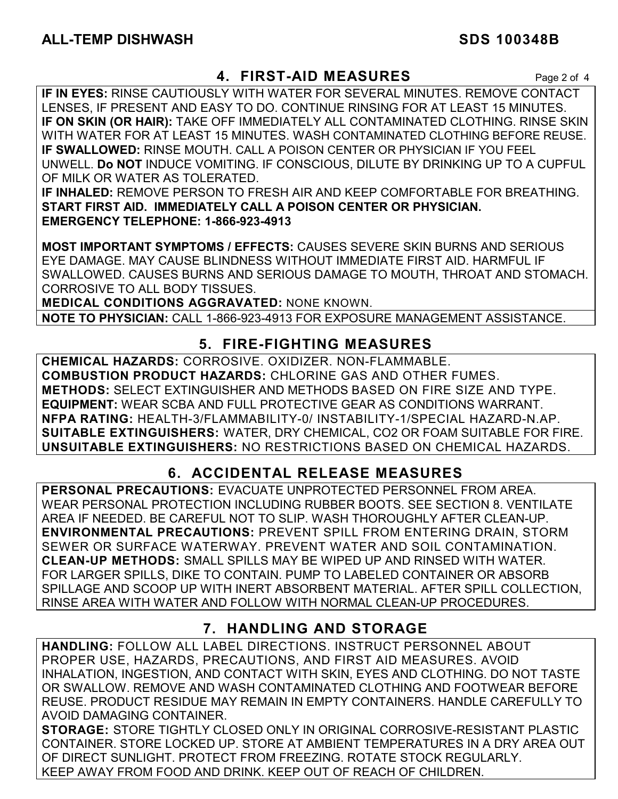### **4. FIRST-AID MEASURES** Page 2 of 4

**IF IN EYES:** RINSE CAUTIOUSLY WITH WATER FOR SEVERAL MINUTES. REMOVE CONTACT LENSES, IF PRESENT AND EASY TO DO. CONTINUE RINSING FOR AT LEAST 15 MINUTES. **IF ON SKIN (OR HAIR):** TAKE OFF IMMEDIATELY ALL CONTAMINATED CLOTHING. RINSE SKIN WITH WATER FOR AT LEAST 15 MINUTES. WASH CONTAMINATED CLOTHING BEFORE REUSE. **IF SWALLOWED:** RINSE MOUTH. CALL A POISON CENTER OR PHYSICIAN IF YOU FEEL UNWELL. **Do NOT** INDUCE VOMITING. IF CONSCIOUS, DILUTE BY DRINKING UP TO A CUPFUL OF MILK OR WATER AS TOLERATED.

**IF INHALED:** REMOVE PERSON TO FRESH AIR AND KEEP COMFORTABLE FOR BREATHING. **START FIRST AID. IMMEDIATELY CALL A POISON CENTER OR PHYSICIAN. EMERGENCY TELEPHONE: 1-866-923-4913**

**MOST IMPORTANT SYMPTOMS / EFFECTS:** CAUSES SEVERE SKIN BURNS AND SERIOUS EYE DAMAGE. MAY CAUSE BLINDNESS WITHOUT IMMEDIATE FIRST AID. HARMFUL IF SWALLOWED. CAUSES BURNS AND SERIOUS DAMAGE TO MOUTH, THROAT AND STOMACH. CORROSIVE TO ALL BODY TISSUES.

**MEDICAL CONDITIONS AGGRAVATED:** NONE KNOWN.

**NOTE TO PHYSICIAN:** CALL 1-866-923-4913 FOR EXPOSURE MANAGEMENT ASSISTANCE.

## **5. FIRE-FIGHTING MEASURES**

**CHEMICAL HAZARDS:** CORROSIVE. OXIDIZER. NON-FLAMMABLE. **COMBUSTION PRODUCT HAZARDS:** CHLORINE GAS AND OTHER FUMES. **METHODS:** SELECT EXTINGUISHER AND METHODS BASED ON FIRE SIZE AND TYPE. **EQUIPMENT:** WEAR SCBA AND FULL PROTECTIVE GEAR AS CONDITIONS WARRANT. **NFPA RATING:** HEALTH-3/FLAMMABILITY-0/ INSTABILITY-1/SPECIAL HAZARD-N.AP. **SUITABLE EXTINGUISHERS:** WATER, DRY CHEMICAL, CO2 OR FOAM SUITABLE FOR FIRE. **UNSUITABLE EXTINGUISHERS:** NO RESTRICTIONS BASED ON CHEMICAL HAZARDS.

## **6. ACCIDENTAL RELEASE MEASURES**

**PERSONAL PRECAUTIONS:** EVACUATE UNPROTECTED PERSONNEL FROM AREA. WEAR PERSONAL PROTECTION INCLUDING RUBBER BOOTS. SEE SECTION 8. VENTILATE AREA IF NEEDED. BE CAREFUL NOT TO SLIP. WASH THOROUGHLY AFTER CLEAN-UP. **ENVIRONMENTAL PRECAUTIONS:** PREVENT SPILL FROM ENTERING DRAIN, STORM SEWER OR SURFACE WATERWAY. PREVENT WATER AND SOIL CONTAMINATION. **CLEAN-UP METHODS:** SMALL SPILLS MAY BE WIPED UP AND RINSED WITH WATER. FOR LARGER SPILLS, DIKE TO CONTAIN. PUMP TO LABELED CONTAINER OR ABSORB SPILLAGE AND SCOOP UP WITH INERT ABSORBENT MATERIAL. AFTER SPILL COLLECTION, RINSE AREA WITH WATER AND FOLLOW WITH NORMAL CLEAN-UP PROCEDURES.

## **7. HANDLING AND STORAGE**

**HANDLING:** FOLLOW ALL LABEL DIRECTIONS. INSTRUCT PERSONNEL ABOUT PROPER USE, HAZARDS, PRECAUTIONS, AND FIRST AID MEASURES. AVOID INHALATION, INGESTION, AND CONTACT WITH SKIN, EYES AND CLOTHING. DO NOT TASTE OR SWALLOW. REMOVE AND WASH CONTAMINATED CLOTHING AND FOOTWEAR BEFORE REUSE. PRODUCT RESIDUE MAY REMAIN IN EMPTY CONTAINERS. HANDLE CAREFULLY TO AVOID DAMAGING CONTAINER.

**STORAGE:** STORE TIGHTLY CLOSED ONLY IN ORIGINAL CORROSIVE-RESISTANT PLASTIC CONTAINER. STORE LOCKED UP. STORE AT AMBIENT TEMPERATURES IN A DRY AREA OUT OF DIRECT SUNLIGHT. PROTECT FROM FREEZING. ROTATE STOCK REGULARLY. KEEP AWAY FROM FOOD AND DRINK. KEEP OUT OF REACH OF CHILDREN.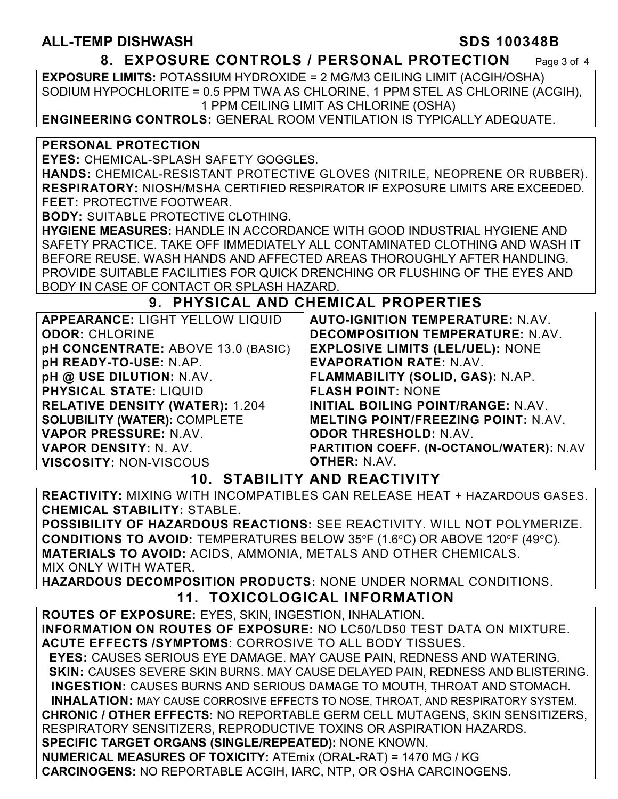### **ALL-TEMP DISHWASH SDS 100348B**

**8. EXPOSURE CONTROLS / PERSONAL PROTECTION** Page 3 of 4

**EXPOSURE LIMITS:** POTASSIUM HYDROXIDE = 2 MG/M3 CEILING LIMIT (ACGIH/OSHA) SODIUM HYPOCHLORITE = 0.5 PPM TWA AS CHLORINE, 1 PPM STEL AS CHLORINE (ACGIH), 1 PPM CEILING LIMIT AS CHLORINE (OSHA)

**ENGINEERING CONTROLS:** GENERAL ROOM VENTILATION IS TYPICALLY ADEQUATE.

### **PERSONAL PROTECTION**

**EYES:** CHEMICAL-SPLASH SAFETY GOGGLES.

**HANDS:** CHEMICAL-RESISTANT PROTECTIVE GLOVES (NITRILE, NEOPRENE OR RUBBER). **RESPIRATORY:** NIOSH/MSHA CERTIFIED RESPIRATOR IF EXPOSURE LIMITS ARE EXCEEDED. **FEET:** PROTECTIVE FOOTWEAR.

**BODY:** SUITABLE PROTECTIVE CLOTHING.

**HYGIENE MEASURES:** HANDLE IN ACCORDANCE WITH GOOD INDUSTRIAL HYGIENE AND SAFETY PRACTICE. TAKE OFF IMMEDIATELY ALL CONTAMINATED CLOTHING AND WASH IT BEFORE REUSE. WASH HANDS AND AFFECTED AREAS THOROUGHLY AFTER HANDLING. PROVIDE SUITABLE FACILITIES FOR QUICK DRENCHING OR FLUSHING OF THE EYES AND BODY IN CASE OF CONTACT OR SPLASH HAZARD.

### **9. PHYSICAL AND CHEMICAL PROPERTIES**

| APPEARANCE: LIGHT YELLOW LIQUID        | <b>AUTO-IGNITION TEMPERATURE: N.AV.</b>    |
|----------------------------------------|--------------------------------------------|
| <b>ODOR: CHLORINE</b>                  | <b>DECOMPOSITION TEMPERATURE: N.AV.</b>    |
| pH CONCENTRATE: ABOVE 13.0 (BASIC)     | <b>EXPLOSIVE LIMITS (LEL/UEL): NONE</b>    |
| pH READY-TO-USE: N.AP.                 | <b>EVAPORATION RATE: N.AV.</b>             |
| pH @ USE DILUTION: N.AV.               | FLAMMABILITY (SOLID, GAS): N.AP.           |
| <b>PHYSICAL STATE: LIQUID</b>          | <b>FLASH POINT: NONE</b>                   |
| <b>RELATIVE DENSITY (WATER): 1.204</b> | INITIAL BOILING POINT/RANGE: N.AV.         |
| <b>SOLUBILITY (WATER): COMPLETE</b>    | <b>MELTING POINT/FREEZING POINT: N.AV.</b> |
| VAPOR PRESSURE: N.AV.                  | <b>ODOR THRESHOLD: N.AV.</b>               |
| VAPOR DENSITY: N. AV.                  | PARTITION COEFF. (N-OCTANOL/WATER): N.AV   |
| <b>VISCOSITY: NON-VISCOUS</b>          | <b>OTHER: N.AV.</b>                        |

### **10. STABILITY AND REACTIVITY**

**REACTIVITY:** MIXING WITH INCOMPATIBLES CAN RELEASE HEAT + HAZARDOUS GASES. **CHEMICAL STABILITY:** STABLE.

**POSSIBILITY OF HAZARDOUS REACTIONS:** SEE REACTIVITY. WILL NOT POLYMERIZE. **CONDITIONS TO AVOID:** TEMPERATURES BELOW 35°F (1.6°C) OR ABOVE 120°F (49°C). **MATERIALS TO AVOID:** ACIDS, AMMONIA, METALS AND OTHER CHEMICALS. MIX ONLY WITH WATER.

**HAZARDOUS DECOMPOSITION PRODUCTS:** NONE UNDER NORMAL CONDITIONS.

## **11. TOXICOLOGICAL INFORMATION**

**ROUTES OF EXPOSURE:** EYES, SKIN, INGESTION, INHALATION. **INFORMATION ON ROUTES OF EXPOSURE:** NO LC50/LD50 TEST DATA ON MIXTURE. **ACUTE EFFECTS /SYMPTOMS**: CORROSIVE TO ALL BODY TISSUES.  **EYES:** CAUSES SERIOUS EYE DAMAGE. MAY CAUSE PAIN, REDNESS AND WATERING.  **SKIN:** CAUSES SEVERE SKIN BURNS. MAY CAUSE DELAYED PAIN, REDNESS AND BLISTERING. **INGESTION:** CAUSES BURNS AND SERIOUS DAMAGE TO MOUTH, THROAT AND STOMACH. **INHALATION:** MAY CAUSE CORROSIVE EFFECTS TO NOSE, THROAT, AND RESPIRATORY SYSTEM. **CHRONIC / OTHER EFFECTS:** NO REPORTABLE GERM CELL MUTAGENS, SKIN SENSITIZERS, RESPIRATORY SENSITIZERS, REPRODUCTIVE TOXINS OR ASPIRATION HAZARDS. **SPECIFIC TARGET ORGANS (SINGLE/REPEATED):** NONE KNOWN. **NUMERICAL MEASURES OF TOXICITY:** ATEmix (ORAL-RAT) = 1470 MG / KG **CARCINOGENS:** NO REPORTABLE ACGIH, IARC, NTP, OR OSHA CARCINOGENS.